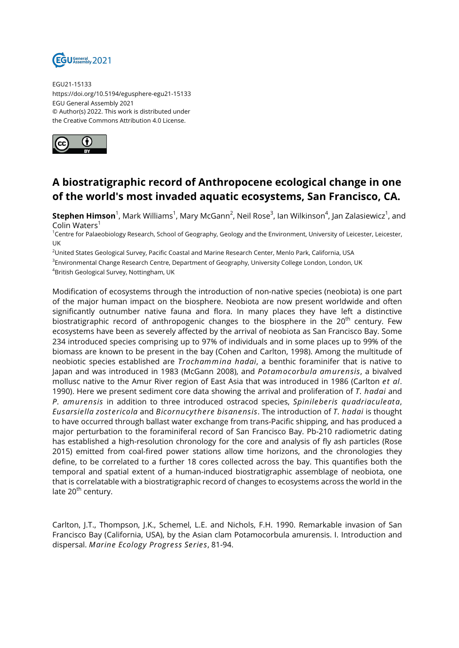

EGU21-15133 https://doi.org/10.5194/egusphere-egu21-15133 EGU General Assembly 2021 © Author(s) 2022. This work is distributed under the Creative Commons Attribution 4.0 License.



## **A biostratigraphic record of Anthropocene ecological change in one of the world's most invaded aquatic ecosystems, San Francisco, CA.**

 $\mathsf{Stephen\ Himson}^1$ , Mark Williams<sup>1</sup>, Mary McGann<sup>2</sup>, Neil Rose<sup>3</sup>, Ian Wilkinson<sup>4</sup>, Jan Zalasiewicz<sup>1</sup>, and Colin Waters<sup>1</sup>

<sup>1</sup>Centre for Palaeobiology Research, School of Geography, Geology and the Environment, University of Leicester, Leicester, UK

<sup>2</sup>United States Geological Survey, Pacific Coastal and Marine Research Center, Menlo Park, California, USA

<sup>3</sup>Environmental Change Research Centre, Department of Geography, University College London, London, UK

<sup>4</sup>British Geological Survey, Nottingham, UK

Modification of ecosystems through the introduction of non-native species (neobiota) is one part of the major human impact on the biosphere. Neobiota are now present worldwide and often significantly outnumber native fauna and flora. In many places they have left a distinctive biostratigraphic record of anthropogenic changes to the biosphere in the  $20<sup>th</sup>$  century. Few ecosystems have been as severely affected by the arrival of neobiota as San Francisco Bay. Some 234 introduced species comprising up to 97% of individuals and in some places up to 99% of the biomass are known to be present in the bay (Cohen and Carlton, 1998). Among the multitude of neobiotic species established are *Trochammina hadai*, a benthic foraminifer that is native to Japan and was introduced in 1983 (McGann 2008), and *Potamocorbula amurensis*, a bivalved mollusc native to the Amur River region of East Asia that was introduced in 1986 (Carlton *et al*. 1990). Here we present sediment core data showing the arrival and proliferation of *T. hadai* and *P. amurensis* in addition to three introduced ostracod species, *Spinileberis quadriaculeata*, *Eusarsiella zostericola* and *Bicornucythere bisanensis*. The introduction of *T. hadai* is thought to have occurred through ballast water exchange from trans-Pacific shipping, and has produced a major perturbation to the foraminiferal record of San Francisco Bay. Pb-210 radiometric dating has established a high-resolution chronology for the core and analysis of fly ash particles (Rose 2015) emitted from coal-fired power stations allow time horizons, and the chronologies they define, to be correlated to a further 18 cores collected across the bay. This quantifies both the temporal and spatial extent of a human-induced biostratigraphic assemblage of neobiota, one that is correlatable with a biostratigraphic record of changes to ecosystems across the world in the late 20<sup>th</sup> century.

Carlton, J.T., Thompson, J.K., Schemel, L.E. and Nichols, F.H. 1990. Remarkable invasion of San Francisco Bay (California, USA), by the Asian clam Potamocorbula amurensis. I. Introduction and dispersal. *Marine Ecology Progress Series*, 81-94.